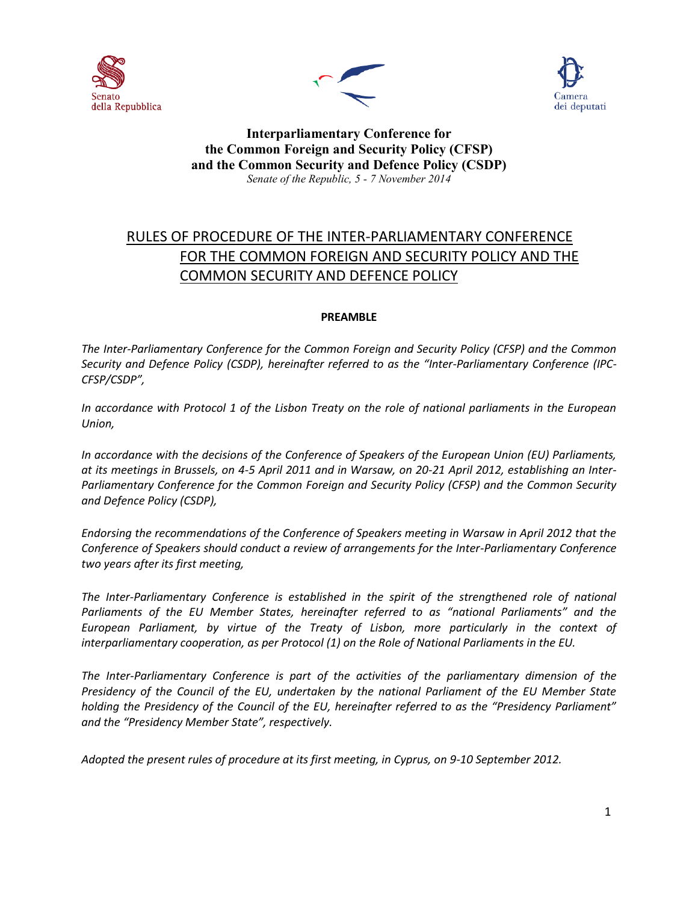





# **Interparliamentary Conference for the Common Foreign and Security Policy (CFSP) and the Common Security and Defence Policy (CSDP)** *Senate of the Republic, 5 - 7 November 2014*

# RULES OF PROCEDURE OF THE INTER-PARLIAMENTARY CONFERENCE FOR THE COMMON FOREIGN AND SECURITY POLICY AND THE COMMON SECURITY AND DEFENCE POLICY

# **PREAMBLE**

*The Inter-Parliamentary Conference for the Common Foreign and Security Policy (CFSP) and the Common Security and Defence Policy (CSDP), hereinafter referred to as the "Inter-Parliamentary Conference (IPC-CFSP/CSDP",*

*In accordance with Protocol 1 of the Lisbon Treaty on the role of national parliaments in the European Union,*

*In accordance with the decisions of the Conference of Speakers of the European Union (EU) Parliaments, at its meetings in Brussels, on 4-5 April 2011 and in Warsaw, on 20-21 April 2012, establishing an Inter-Parliamentary Conference for the Common Foreign and Security Policy (CFSP) and the Common Security and Defence Policy (CSDP),*

*Endorsing the recommendations of the Conference of Speakers meeting in Warsaw in April 2012 that the Conference of Speakers should conduct a review of arrangements for the Inter-Parliamentary Conference two years after its first meeting,*

The Inter-Parliamentary Conference is established in the spirit of the strengthened role of national *Parliaments of the EU Member States, hereinafter referred to as "national Parliaments" and the European Parliament, by virtue of the Treaty of Lisbon, more particularly in the context of interparliamentary cooperation, as per Protocol (1) on the Role of National Parliaments in the EU.*

*The Inter-Parliamentary Conference is part of the activities of the parliamentary dimension of the Presidency of the Council of the EU, undertaken by the national Parliament of the EU Member State holding the Presidency of the Council of the EU, hereinafter referred to as the "Presidency Parliament" and the "Presidency Member State", respectively.*

*Adopted the present rules of procedure at its first meeting, in Cyprus, on 9-10 September 2012.*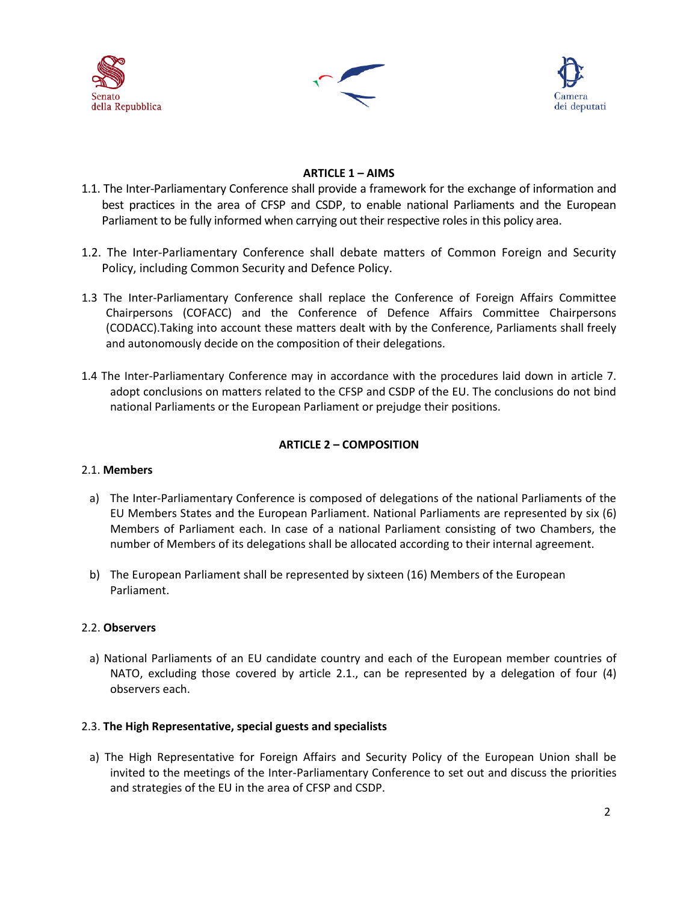





# **ARTICLE 1 – AIMS**

- 1.1. The Inter-Parliamentary Conference shall provide a framework for the exchange of information and best practices in the area of CFSP and CSDP, to enable national Parliaments and the European Parliament to be fully informed when carrying out their respective roles in this policy area.
- 1.2. The Inter-Parliamentary Conference shall debate matters of Common Foreign and Security Policy, including Common Security and Defence Policy.
- 1.3 The Inter-Parliamentary Conference shall replace the Conference of Foreign Affairs Committee Chairpersons (COFACC) and the Conference of Defence Affairs Committee Chairpersons (CODACC).Taking into account these matters dealt with by the Conference, Parliaments shall freely and autonomously decide on the composition of their delegations.
- 1.4 The Inter-Parliamentary Conference may in accordance with the procedures laid down in article 7. adopt conclusions on matters related to the CFSP and CSDP of the EU. The conclusions do not bind national Parliaments or the European Parliament or prejudge their positions.

# **ARTICLE 2 – COMPOSITION**

## 2.1. **Members**

- a) The Inter-Parliamentary Conference is composed of delegations of the national Parliaments of the EU Members States and the European Parliament. National Parliaments are represented by six (6) Members of Parliament each. In case of a national Parliament consisting of two Chambers, the number of Members of its delegations shall be allocated according to their internal agreement.
- b) The European Parliament shall be represented by sixteen (16) Members of the European Parliament.

## 2.2. **Observers**

a) National Parliaments of an EU candidate country and each of the European member countries of NATO, excluding those covered by article 2.1., can be represented by a delegation of four (4) observers each.

## 2.3. **The High Representative, special guests and specialists**

a) The High Representative for Foreign Affairs and Security Policy of the European Union shall be invited to the meetings of the Inter-Parliamentary Conference to set out and discuss the priorities and strategies of the EU in the area of CFSP and CSDP.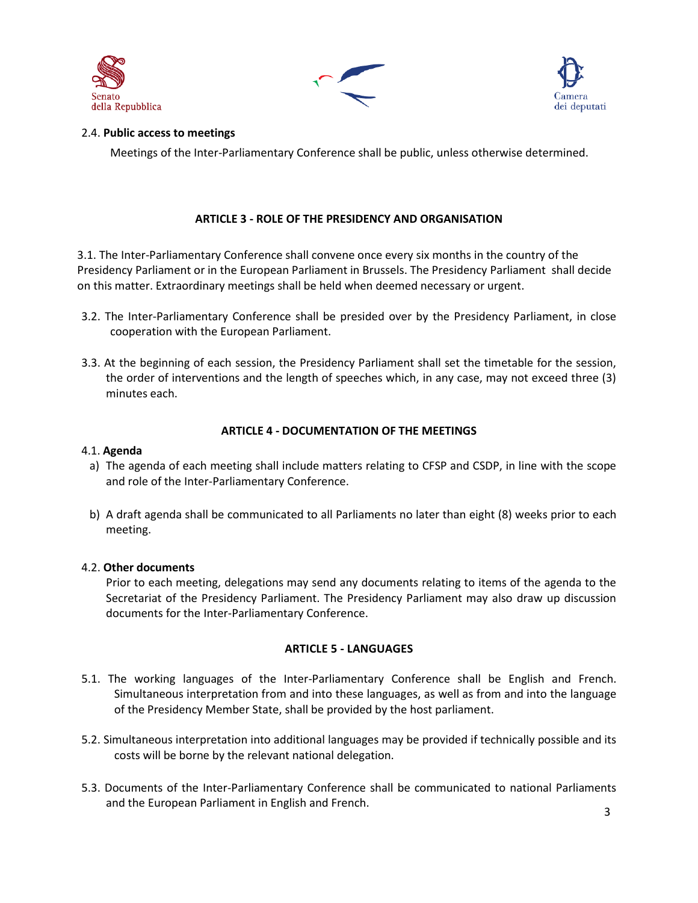





## 2.4. **Public access to meetings**

Meetings of the Inter-Parliamentary Conference shall be public, unless otherwise determined.

# **ARTICLE 3 - ROLE OF THE PRESIDENCY AND ORGANISATION**

3.1. The Inter-Parliamentary Conference shall convene once every six months in the country of the Presidency Parliament or in the European Parliament in Brussels. The Presidency Parliament shall decide on this matter. Extraordinary meetings shall be held when deemed necessary or urgent.

- 3.2. The Inter-Parliamentary Conference shall be presided over by the Presidency Parliament, in close cooperation with the European Parliament.
- 3.3. At the beginning of each session, the Presidency Parliament shall set the timetable for the session, the order of interventions and the length of speeches which, in any case, may not exceed three (3) minutes each.

# **ARTICLE 4 - DOCUMENTATION OF THE MEETINGS**

#### 4.1. **Agenda**

- a) The agenda of each meeting shall include matters relating to CFSP and CSDP, in line with the scope and role of the Inter-Parliamentary Conference.
- b) A draft agenda shall be communicated to all Parliaments no later than eight (8) weeks prior to each meeting.

## 4.2. **Other documents**

Prior to each meeting, delegations may send any documents relating to items of the agenda to the Secretariat of the Presidency Parliament. The Presidency Parliament may also draw up discussion documents for the Inter-Parliamentary Conference.

## **ARTICLE 5 - LANGUAGES**

- 5.1. The working languages of the Inter-Parliamentary Conference shall be English and French. Simultaneous interpretation from and into these languages, as well as from and into the language of the Presidency Member State, shall be provided by the host parliament.
- 5.2. Simultaneous interpretation into additional languages may be provided if technically possible and its costs will be borne by the relevant national delegation.
- 5.3. Documents of the Inter-Parliamentary Conference shall be communicated to national Parliaments and the European Parliament in English and French.